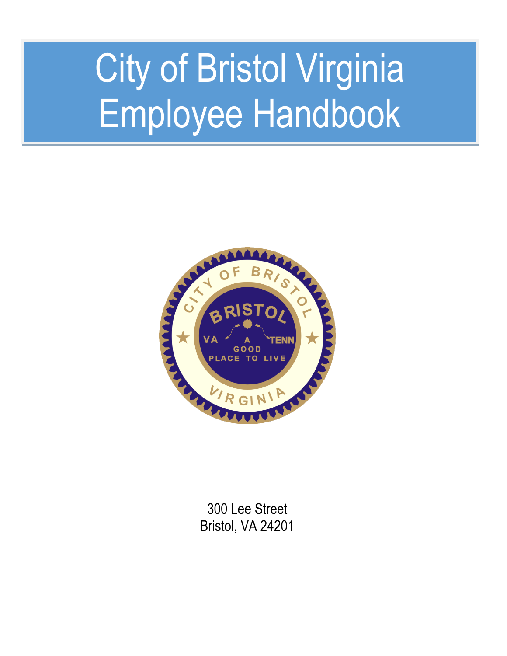# City of Bristol Virginia Employee Handbook



300 Lee Street Bristol, VA 24201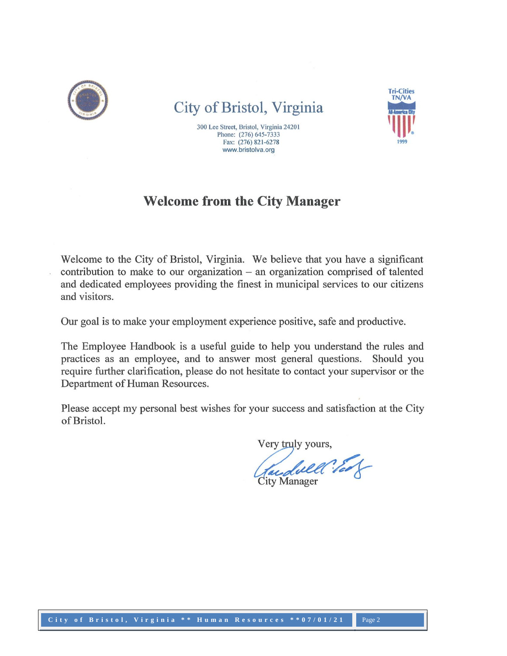

## City of Bristol, Virginia



300 Lee Street, Bristol, Virginia 24201 Phone: (276) 645-7333 Fax: (276) 821-6278 www.bristolva.org

## **Welcome from the City Manager**

Welcome to the City of Bristol, Virginia. We believe that you have a significant contribution to make to our organization  $-$  an organization comprised of talented and dedicated employees providing the finest in municipal services to our citizens and visitors.

Our goal is to make your employment experience positive, safe and productive.

The Employee Handbook is a useful guide to help you understand the rules and practices as an employee, and to answer most general questions. Should you require further clarification, please do not hesitate to contact your supervisor or the Department of Human Resources.

Please accept my personal best wishes for your success and satisfaction at the City of Bristol.

Very truly yours,

anduell took ity Manager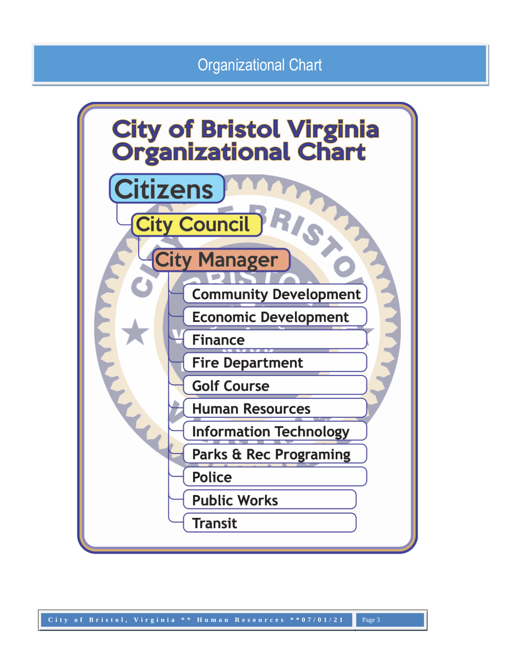# Organizational Chart

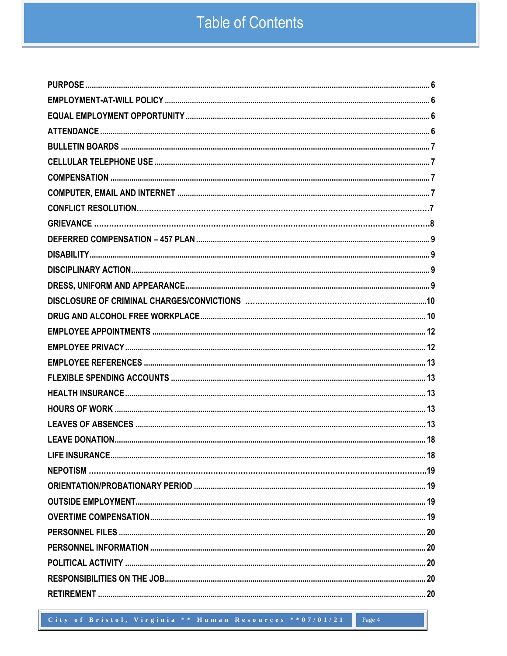# **Table of Contents**

City of Bristol, Virginia \*\* Human Resources \*\* 07/01/21

Page 4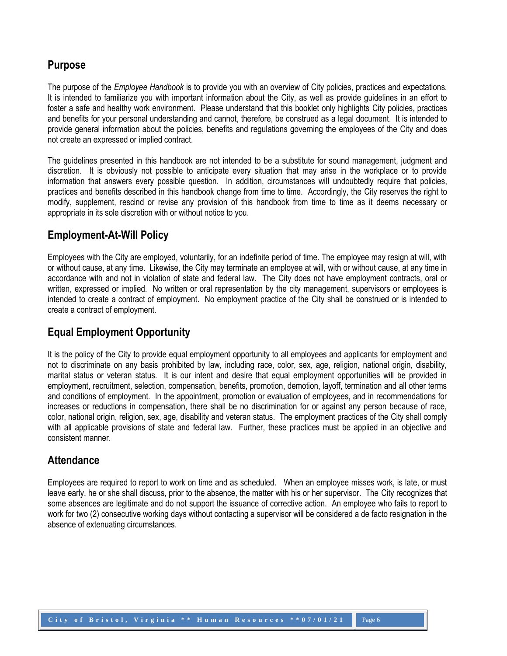## **Purpose**

The purpose of the *Employee Handbook* is to provide you with an overview of City policies, practices and expectations. It is intended to familiarize you with important information about the City, as well as provide guidelines in an effort to foster a safe and healthy work environment. Please understand that this booklet only highlights City policies, practices and benefits for your personal understanding and cannot, therefore, be construed as a legal document. It is intended to provide general information about the policies, benefits and regulations governing the employees of the City and does not create an expressed or implied contract.

The guidelines presented in this handbook are not intended to be a substitute for sound management, judgment and discretion. It is obviously not possible to anticipate every situation that may arise in the workplace or to provide information that answers every possible question. In addition, circumstances will undoubtedly require that policies, practices and benefits described in this handbook change from time to time. Accordingly, the City reserves the right to modify, supplement, rescind or revise any provision of this handbook from time to time as it deems necessary or appropriate in its sole discretion with or without notice to you.

## <span id="page-5-0"></span>**Employment-At-Will Policy**

Employees with the City are employed, voluntarily, for an indefinite period of time. The employee may resign at will, with or without cause, at any time. Likewise, the City may terminate an employee at will, with or without cause, at any time in accordance with and not in violation of state and federal law. The City does not have employment contracts, oral or written, expressed or implied. No written or oral representation by the city management, supervisors or employees is intended to create a contract of employment. No employment practice of the City shall be construed or is intended to create a contract of employment.

## <span id="page-5-1"></span>**Equal Employment Opportunity**

It is the policy of the City to provide equal employment opportunity to all employees and applicants for employment and not to discriminate on any basis prohibited by law, including race, color, sex, age, religion, national origin, disability, marital status or veteran status. It is our intent and desire that equal employment opportunities will be provided in employment, recruitment, selection, compensation, benefits, promotion, demotion, layoff, termination and all other terms and conditions of employment. In the appointment, promotion or evaluation of employees, and in recommendations for increases or reductions in compensation, there shall be no discrimination for or against any person because of race, color, national origin, religion, sex, age, disability and veteran status. The employment practices of the City shall comply with all applicable provisions of state and federal law. Further, these practices must be applied in an objective and consistent manner.

## <span id="page-5-2"></span>**Attendance**

Employees are required to report to work on time and as scheduled. When an employee misses work, is late, or must leave early, he or she shall discuss, prior to the absence, the matter with his or her supervisor. The City recognizes that some absences are legitimate and do not support the issuance of corrective action. An employee who fails to report to work for two (2) consecutive working days without contacting a supervisor will be considered a de facto resignation in the absence of extenuating circumstances.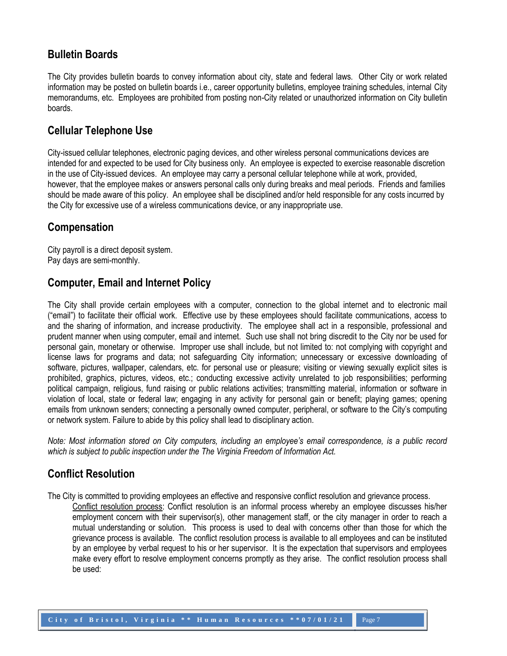## <span id="page-6-0"></span>**Bulletin Boards**

The City provides bulletin boards to convey information about city, state and federal laws. Other City or work related information may be posted on bulletin boards i.e., career opportunity bulletins, employee training schedules, internal City memorandums, etc. Employees are prohibited from posting non-City related or unauthorized information on City bulletin boards.

## **Cellular Telephone Use**

City-issued cellular telephones, electronic paging devices, and other wireless personal communications devices are intended for and expected to be used for City business only. An employee is expected to exercise reasonable discretion in the use of City-issued devices. An employee may carry a personal cellular telephone while at work, provided, however, that the employee makes or answers personal calls only during breaks and meal periods. Friends and families should be made aware of this policy. An employee shall be disciplined and/or held responsible for any costs incurred by the City for excessive use of a wireless communications device, or any inappropriate use.

## <span id="page-6-1"></span>**Compensation**

City payroll is a direct deposit system. Pay days are semi-monthly.

## <span id="page-6-2"></span>**Computer, Email and Internet Policy**

The City shall provide certain employees with a computer, connection to the global internet and to electronic mail ("email") to facilitate their official work. Effective use by these employees should facilitate communications, access to and the sharing of information, and increase productivity. The employee shall act in a responsible, professional and prudent manner when using computer, email and internet. Such use shall not bring discredit to the City nor be used for personal gain, monetary or otherwise. Improper use shall include, but not limited to: not complying with copyright and license laws for programs and data; not safeguarding City information; unnecessary or excessive downloading of software, pictures, wallpaper, calendars, etc. for personal use or pleasure; visiting or viewing sexually explicit sites is prohibited, graphics, pictures, videos, etc.; conducting excessive activity unrelated to job responsibilities; performing political campaign, religious, fund raising or public relations activities; transmitting material, information or software in violation of local, state or federal law; engaging in any activity for personal gain or benefit; playing games; opening emails from unknown senders; connecting a personally owned computer, peripheral, or software to the City's computing or network system. Failure to abide by this policy shall lead to disciplinary action.

*Note: Most information stored on City computers, including an employee's email correspondence, is a public record which is subject to public inspection under the The Virginia Freedom of Information Act.* 

## <span id="page-6-3"></span>**Conflict Resolution**

The City is committed to providing employees an effective and responsive conflict resolution and grievance process.

Conflict resolution process: Conflict resolution is an informal process whereby an employee discusses his/her employment concern with their supervisor(s), other management staff, or the city manager in order to reach a mutual understanding or solution. This process is used to deal with concerns other than those for which the grievance process is available. The conflict resolution process is available to all employees and can be instituted by an employee by verbal request to his or her supervisor. It is the expectation that supervisors and employees make every effort to resolve employment concerns promptly as they arise. The conflict resolution process shall be used: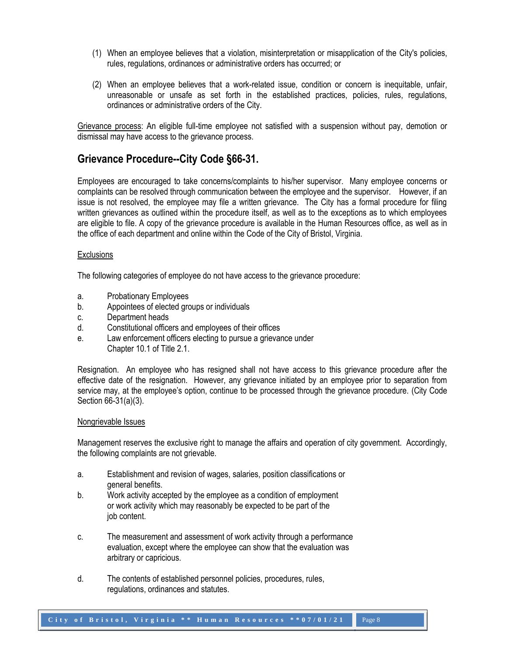- (1) When an employee believes that a violation, misinterpretation or misapplication of the City's policies, rules, regulations, ordinances or administrative orders has occurred; or
- (2) When an employee believes that a work-related issue, condition or concern is inequitable, unfair, unreasonable or unsafe as set forth in the established practices, policies, rules, regulations, ordinances or administrative orders of the City.

Grievance process: An eligible full-time employee not satisfied with a suspension without pay, demotion or dismissal may have access to the grievance process.

## **Grievance Procedure--City Code §66-31.**

Employees are encouraged to take concerns/complaints to his/her supervisor. Many employee concerns or complaints can be resolved through communication between the employee and the supervisor. However, if an issue is not resolved, the employee may file a written grievance. The City has a formal procedure for filing written grievances as outlined within the procedure itself, as well as to the exceptions as to which employees are eligible to file. A copy of the grievance procedure is available in the Human Resources office, as well as in the office of each department and online within the Code of the City of Bristol, Virginia.

#### **Exclusions**

The following categories of employee do not have access to the grievance procedure:

- a. Probationary Employees
- b. Appointees of elected groups or individuals
- c. Department heads
- d. Constitutional officers and employees of their offices
- e. Law enforcement officers electing to pursue a grievance under Chapter 10.1 of Title 2.1.

Resignation. An employee who has resigned shall not have access to this grievance procedure after the effective date of the resignation. However, any grievance initiated by an employee prior to separation from service may, at the employee's option, continue to be processed through the grievance procedure. (City Code Section 66-31(a)(3).

#### Nongrievable Issues

Management reserves the exclusive right to manage the affairs and operation of city government. Accordingly, the following complaints are not grievable.

- a. Establishment and revision of wages, salaries, position classifications or general benefits.
- b. Work activity accepted by the employee as a condition of employment or work activity which may reasonably be expected to be part of the job content.
- c. The measurement and assessment of work activity through a performance evaluation, except where the employee can show that the evaluation was arbitrary or capricious.
- d. The contents of established personnel policies, procedures, rules, regulations, ordinances and statutes.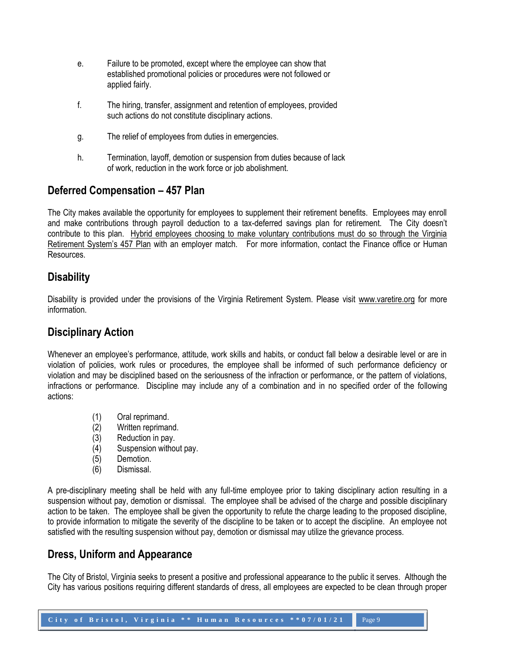- e. Failure to be promoted, except where the employee can show that established promotional policies or procedures were not followed or applied fairly.
- f. The hiring, transfer, assignment and retention of employees, provided such actions do not constitute disciplinary actions.
- g. The relief of employees from duties in emergencies.
- h. Termination, layoff, demotion or suspension from duties because of lack of work, reduction in the work force or job abolishment.

## <span id="page-8-0"></span>**Deferred Compensation – 457 Plan**

The City makes available the opportunity for employees to supplement their retirement benefits. Employees may enroll and make contributions through payroll deduction to a tax-deferred savings plan for retirement. The City doesn't contribute to this plan. Hybrid employees choosing to make voluntary contributions must do so through the Virginia Retirement System's 457 Plan with an employer match. For more information, contact the Finance office or Human Resources.

## <span id="page-8-1"></span>**Disability**

Disability is provided under the provisions of the Virginia Retirement System. Please visit [www.varetire.org](http://www.varetire.org/) for more information.

## <span id="page-8-2"></span>**Disciplinary Action**

Whenever an employee's performance, attitude, work skills and habits, or conduct fall below a desirable level or are in violation of policies, work rules or procedures, the employee shall be informed of such performance deficiency or violation and may be disciplined based on the seriousness of the infraction or performance, or the pattern of violations, infractions or performance. Discipline may include any of a combination and in no specified order of the following actions:

- (1) Oral reprimand.
- (2) Written reprimand.
- (3) Reduction in pay.
- (4) Suspension without pay.
- (5) Demotion.
- (6) Dismissal.

A pre-disciplinary meeting shall be held with any full-time employee prior to taking disciplinary action resulting in a suspension without pay, demotion or dismissal. The employee shall be advised of the charge and possible disciplinary action to be taken. The employee shall be given the opportunity to refute the charge leading to the proposed discipline, to provide information to mitigate the severity of the discipline to be taken or to accept the discipline. An employee not satisfied with the resulting suspension without pay, demotion or dismissal may utilize the grievance process.

## <span id="page-8-3"></span>**Dress, Uniform and Appearance**

The City of Bristol, Virginia seeks to present a positive and professional appearance to the public it serves. Although the City has various positions requiring different standards of dress, all employees are expected to be clean through proper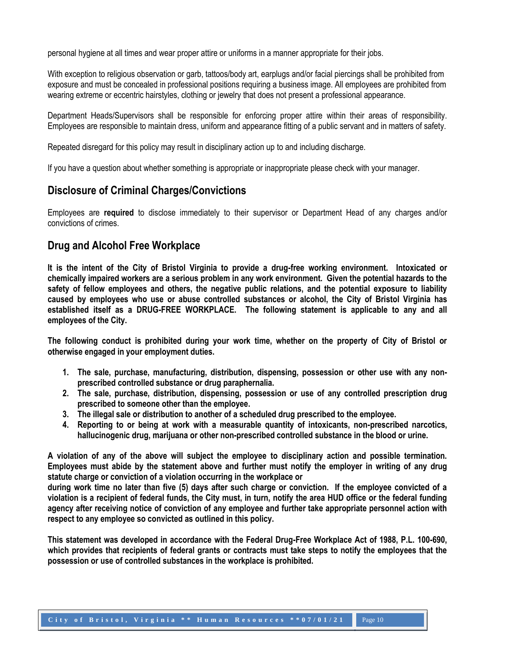personal hygiene at all times and wear proper attire or uniforms in a manner appropriate for their jobs.

With exception to religious observation or garb, tattoos/body art, earplugs and/or facial piercings shall be prohibited from exposure and must be concealed in professional positions requiring a business image. All employees are prohibited from wearing extreme or eccentric hairstyles, clothing or jewelry that does not present a professional appearance.

Department Heads/Supervisors shall be responsible for enforcing proper attire within their areas of responsibility. Employees are responsible to maintain dress, uniform and appearance fitting of a public servant and in matters of safety.

Repeated disregard for this policy may result in disciplinary action up to and including discharge.

If you have a question about whether something is appropriate or inappropriate please check with your manager.

## **Disclosure of Criminal Charges/Convictions**

Employees are **required** to disclose immediately to their supervisor or Department Head of any charges and/or convictions of crimes.

### <span id="page-9-0"></span>**Drug and Alcohol Free Workplace**

**It is the intent of the City of Bristol Virginia to provide a drug-free working environment. Intoxicated or chemically impaired workers are a serious problem in any work environment. Given the potential hazards to the safety of fellow employees and others, the negative public relations, and the potential exposure to liability caused by employees who use or abuse controlled substances or alcohol, the City of Bristol Virginia has established itself as a DRUG-FREE WORKPLACE. The following statement is applicable to any and all employees of the City.**

**The following conduct is prohibited during your work time, whether on the property of City of Bristol or otherwise engaged in your employment duties.**

- **1. The sale, purchase, manufacturing, distribution, dispensing, possession or other use with any nonprescribed controlled substance or drug paraphernalia.**
- **2. The sale, purchase, distribution, dispensing, possession or use of any controlled prescription drug prescribed to someone other than the employee.**
- **3. The illegal sale or distribution to another of a scheduled drug prescribed to the employee.**
- **4. Reporting to or being at work with a measurable quantity of intoxicants, non-prescribed narcotics, hallucinogenic drug, marijuana or other non-prescribed controlled substance in the blood or urine.**

**A violation of any of the above will subject the employee to disciplinary action and possible termination. Employees must abide by the statement above and further must notify the employer in writing of any drug statute charge or conviction of a violation occurring in the workplace or** 

**during work time no later than five (5) days after such charge or conviction. If the employee convicted of a violation is a recipient of federal funds, the City must, in turn, notify the area HUD office or the federal funding agency after receiving notice of conviction of any employee and further take appropriate personnel action with respect to any employee so convicted as outlined in this policy.**

**This statement was developed in accordance with the Federal Drug-Free Workplace Act of 1988, P.L. 100-690, which provides that recipients of federal grants or contracts must take steps to notify the employees that the possession or use of controlled substances in the workplace is prohibited.**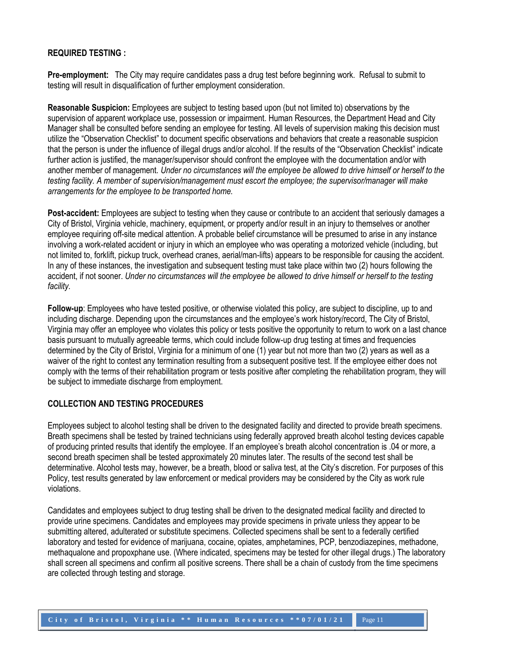#### **REQUIRED TESTING :**

**Pre-employment:** The City may require candidates pass a drug test before beginning work. Refusal to submit to testing will result in disqualification of further employment consideration.

**Reasonable Suspicion:** Employees are subject to testing based upon (but not limited to) observations by the supervision of apparent workplace use, possession or impairment. Human Resources, the Department Head and City Manager shall be consulted before sending an employee for testing. All levels of supervision making this decision must utilize the "Observation Checklist" to document specific observations and behaviors that create a reasonable suspicion that the person is under the influence of illegal drugs and/or alcohol. If the results of the "Observation Checklist" indicate further action is justified, the manager/supervisor should confront the employee with the documentation and/or with another member of management. *Under no circumstances will the employee be allowed to drive himself or herself to the testing facility. A member of supervision/management must escort the employee; the supervisor/manager will make arrangements for the employee to be transported home.*

**Post-accident:** Employees are subject to testing when they cause or contribute to an accident that seriously damages a City of Bristol, Virginia vehicle, machinery, equipment, or property and/or result in an injury to themselves or another employee requiring off-site medical attention. A probable belief circumstance will be presumed to arise in any instance involving a work-related accident or injury in which an employee who was operating a motorized vehicle (including, but not limited to, forklift, pickup truck, overhead cranes, aerial/man-lifts) appears to be responsible for causing the accident. In any of these instances, the investigation and subsequent testing must take place within two (2) hours following the accident, if not sooner. *Under no circumstances will the employee be allowed to drive himself or herself to the testing facility.*

**Follow-up**: Employees who have tested positive, or otherwise violated this policy, are subject to discipline, up to and including discharge. Depending upon the circumstances and the employee's work history/record, The City of Bristol, Virginia may offer an employee who violates this policy or tests positive the opportunity to return to work on a last chance basis pursuant to mutually agreeable terms, which could include follow-up drug testing at times and frequencies determined by the City of Bristol, Virginia for a minimum of one (1) year but not more than two (2) years as well as a waiver of the right to contest any termination resulting from a subsequent positive test. If the employee either does not comply with the terms of their rehabilitation program or tests positive after completing the rehabilitation program, they will be subject to immediate discharge from employment.

#### **COLLECTION AND TESTING PROCEDURES**

Employees subject to alcohol testing shall be driven to the designated facility and directed to provide breath specimens. Breath specimens shall be tested by trained technicians using federally approved breath alcohol testing devices capable of producing printed results that identify the employee. If an employee's breath alcohol concentration is .04 or more, a second breath specimen shall be tested approximately 20 minutes later. The results of the second test shall be determinative. Alcohol tests may, however, be a breath, blood or saliva test, at the City's discretion. For purposes of this Policy, test results generated by law enforcement or medical providers may be considered by the City as work rule violations.

Candidates and employees subject to drug testing shall be driven to the designated medical facility and directed to provide urine specimens. Candidates and employees may provide specimens in private unless they appear to be submitting altered, adulterated or substitute specimens. Collected specimens shall be sent to a federally certified laboratory and tested for evidence of marijuana, cocaine, opiates, amphetamines, PCP, benzodiazepines, methadone, methaqualone and propoxphane use. (Where indicated, specimens may be tested for other illegal drugs.) The laboratory shall screen all specimens and confirm all positive screens. There shall be a chain of custody from the time specimens are collected through testing and storage.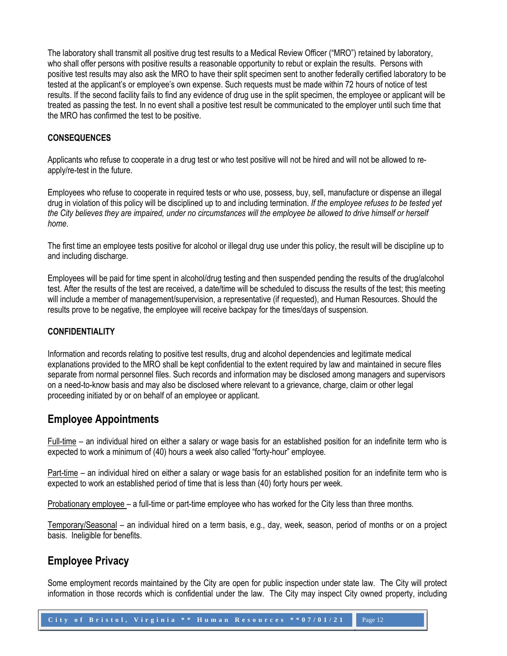The laboratory shall transmit all positive drug test results to a Medical Review Officer ("MRO") retained by laboratory, who shall offer persons with positive results a reasonable opportunity to rebut or explain the results. Persons with positive test results may also ask the MRO to have their split specimen sent to another federally certified laboratory to be tested at the applicant's or employee's own expense. Such requests must be made within 72 hours of notice of test results. If the second facility fails to find any evidence of drug use in the split specimen, the employee or applicant will be treated as passing the test. In no event shall a positive test result be communicated to the employer until such time that the MRO has confirmed the test to be positive.

#### **CONSEQUENCES**

Applicants who refuse to cooperate in a drug test or who test positive will not be hired and will not be allowed to reapply/re-test in the future.

Employees who refuse to cooperate in required tests or who use, possess, buy, sell, manufacture or dispense an illegal drug in violation of this policy will be disciplined up to and including termination. *If the employee refuses to be tested yet*  the City believes they are impaired, under no circumstances will the employee be allowed to drive himself or herself *home.*

The first time an employee tests positive for alcohol or illegal drug use under this policy, the result will be discipline up to and including discharge.

Employees will be paid for time spent in alcohol/drug testing and then suspended pending the results of the drug/alcohol test. After the results of the test are received, a date/time will be scheduled to discuss the results of the test; this meeting will include a member of management/supervision, a representative (if requested), and Human Resources. Should the results prove to be negative, the employee will receive backpay for the times/days of suspension.

#### **CONFIDENTIALITY**

Information and records relating to positive test results, drug and alcohol dependencies and legitimate medical explanations provided to the MRO shall be kept confidential to the extent required by law and maintained in secure files separate from normal personnel files. Such records and information may be disclosed among managers and supervisors on a need-to-know basis and may also be disclosed where relevant to a grievance, charge, claim or other legal proceeding initiated by or on behalf of an employee or applicant.

## <span id="page-11-0"></span>**Employee Appointments**

Full-time – an individual hired on either a salary or wage basis for an established position for an indefinite term who is expected to work a minimum of (40) hours a week also called "forty-hour" employee.

Part-time – an individual hired on either a salary or wage basis for an established position for an indefinite term who is expected to work an established period of time that is less than (40) forty hours per week.

Probationary employee – a full-time or part-time employee who has worked for the City less than three months.

Temporary/Seasonal – an individual hired on a term basis, e.g., day, week, season, period of months or on a project basis. Ineligible for benefits.

## <span id="page-11-1"></span>**Employee Privacy**

Some employment records maintained by the City are open for public inspection under state law. The City will protect information in those records which is confidential under the law. The City may inspect City owned property, including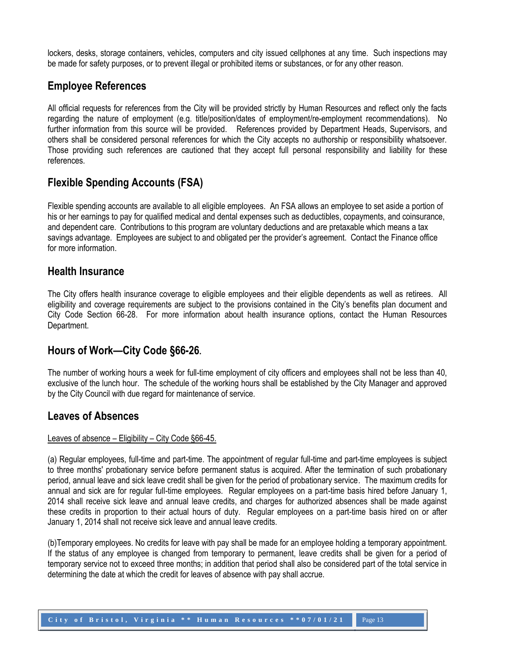lockers, desks, storage containers, vehicles, computers and city issued cellphones at any time. Such inspections may be made for safety purposes, or to prevent illegal or prohibited items or substances, or for any other reason.

## <span id="page-12-0"></span>**Employee References**

All official requests for references from the City will be provided strictly by Human Resources and reflect only the facts regarding the nature of employment (e.g. title/position/dates of employment/re-employment recommendations). No further information from this source will be provided. References provided by Department Heads, Supervisors, and others shall be considered personal references for which the City accepts no authorship or responsibility whatsoever. Those providing such references are cautioned that they accept full personal responsibility and liability for these references.

## **Flexible Spending Accounts (FSA)**

Flexible spending accounts are available to all eligible employees. An FSA allows an employee to set aside a portion of his or her earnings to pay for qualified medical and dental expenses such as deductibles, copayments, and coinsurance, and dependent care. Contributions to this program are voluntary deductions and are pretaxable which means a tax savings advantage. Employees are subject to and obligated per the provider's agreement. Contact the Finance office for more information.

## <span id="page-12-1"></span>**Health Insurance**

The City offers health insurance coverage to eligible employees and their eligible dependents as well as retirees. All eligibility and coverage requirements are subject to the provisions contained in the City's benefits plan document and City Code Section 66-28. For more information about health insurance options, contact the Human Resources Department.

## <span id="page-12-2"></span>**Hours of Work—City Code §66-26.**

The number of working hours a week for full-time employment of city officers and employees shall not be less than 40, exclusive of the lunch hour. The schedule of the working hours shall be established by the City Manager and approved by the City Council with due regard for maintenance of service.

## <span id="page-12-3"></span>**Leaves of Absences**

#### Leaves of absence – Eligibility – City Code §66-45.

(a) Regular employees, full-time and part-time. The appointment of regular full-time and part-time employees is subject to three months' probationary service before permanent status is acquired. After the termination of such probationary period, annual leave and sick leave credit shall be given for the period of probationary service. The maximum credits for annual and sick are for regular full-time employees. Regular employees on a part-time basis hired before January 1, 2014 shall receive sick leave and annual leave credits, and charges for authorized absences shall be made against these credits in proportion to their actual hours of duty. Regular employees on a part-time basis hired on or after January 1, 2014 shall not receive sick leave and annual leave credits.

(b)Temporary employees. No credits for leave with pay shall be made for an employee holding a temporary appointment. If the status of any employee is changed from temporary to permanent, leave credits shall be given for a period of temporary service not to exceed three months; in addition that period shall also be considered part of the total service in determining the date at which the credit for leaves of absence with pay shall accrue.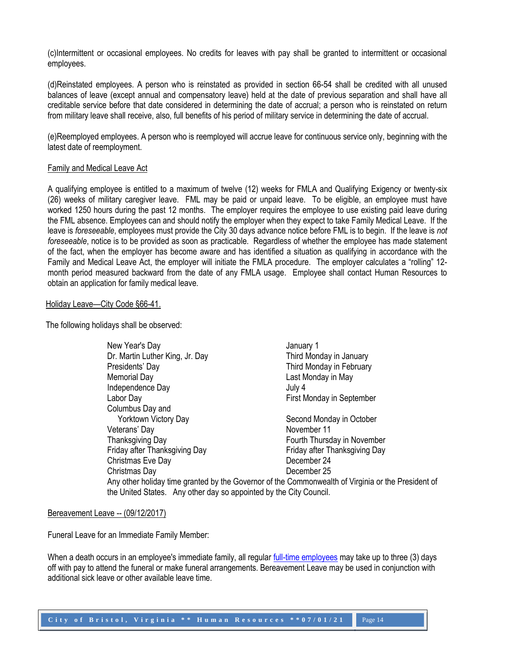(c)Intermittent or occasional employees. No credits for leaves with pay shall be granted to intermittent or occasional employees.

(d)Reinstated employees. A person who is reinstated as provided in section 66-54 shall be credited with all unused balances of leave (except annual and compensatory leave) held at the date of previous separation and shall have all creditable service before that date considered in determining the date of accrual; a person who is reinstated on return from military leave shall receive, also, full benefits of his period of military service in determining the date of accrual.

(e)Reemployed employees. A person who is reemployed will accrue leave for continuous service only, beginning with the latest date of reemployment.

#### Family and Medical Leave Act

A qualifying employee is entitled to a maximum of twelve (12) weeks for FMLA and Qualifying Exigency or twenty-six (26) weeks of military caregiver leave. FML may be paid or unpaid leave. To be eligible, an employee must have worked 1250 hours during the past 12 months. The employer requires the employee to use existing paid leave during the FML absence. Employees can and should notify the employer when they expect to take Family Medical Leave. If the leave is *foreseeable*, employees must provide the City 30 days advance notice before FML is to begin. If the leave is *not foreseeable*, notice is to be provided as soon as practicable. Regardless of whether the employee has made statement of the fact, when the employer has become aware and has identified a situation as qualifying in accordance with the Family and Medical Leave Act, the employer will initiate the FMLA procedure. The employer calculates a "rolling" 12 month period measured backward from the date of any FMLA usage. Employee shall contact Human Resources to obtain an application for family medical leave.

#### Holiday Leave—City Code §66-41.

The following holidays shall be observed:

| New Year's Day                                                                                     | January 1                     |  |
|----------------------------------------------------------------------------------------------------|-------------------------------|--|
| Dr. Martin Luther King, Jr. Day                                                                    | Third Monday in January       |  |
| Presidents' Day                                                                                    | Third Monday in February      |  |
| <b>Memorial Day</b>                                                                                | Last Monday in May            |  |
| Independence Day                                                                                   | July 4                        |  |
| Labor Day                                                                                          | First Monday in September     |  |
| Columbus Day and                                                                                   |                               |  |
| <b>Yorktown Victory Day</b>                                                                        | Second Monday in October      |  |
| Veterans' Day                                                                                      | November 11                   |  |
| <b>Thanksgiving Day</b>                                                                            | Fourth Thursday in November   |  |
| Friday after Thanksgiving Day                                                                      | Friday after Thanksgiving Day |  |
| Christmas Eve Day                                                                                  | December 24                   |  |
| Christmas Day                                                                                      | December 25                   |  |
| Any other holiday time granted by the Governor of the Commonwealth of Virginia or the President of |                               |  |
| the United States. Any other day so appointed by the City Council.                                 |                               |  |

#### Bereavement Leave -- (09/12/2017)

Funeral Leave for an Immediate Family Member:

When a death occurs in an employee's immediate family, all regular [full-time employees](https://www.thebalance.com/exempt-employees-1918120) may take up to three (3) days off with pay to attend the funeral or make funeral arrangements. Bereavement Leave may be used in conjunction with additional sick leave or other available leave time.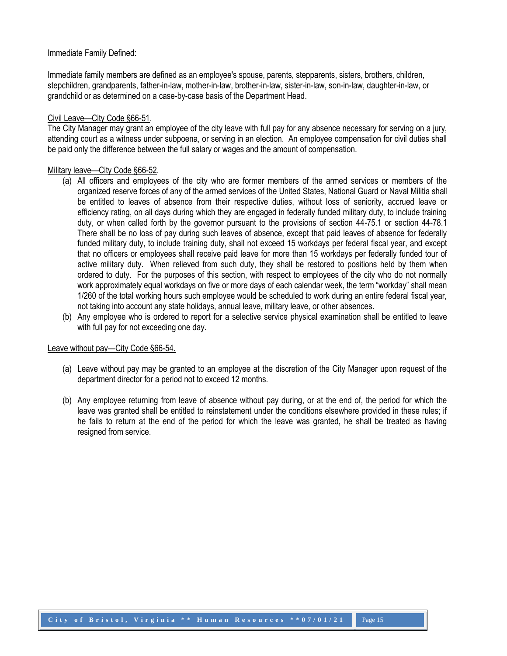#### Immediate Family Defined:

Immediate family members are defined as an employee's spouse, parents, stepparents, sisters, brothers, children, stepchildren, grandparents, father-in-law, mother-in-law, brother-in-law, sister-in-law, son-in-law, daughter-in-law, or grandchild or as determined on a case-by-case basis of the Department Head.

#### Civil Leave—City Code §66-51.

The City Manager may grant an employee of the city leave with full pay for any absence necessary for serving on a jury, attending court as a witness under subpoena, or serving in an election. An employee compensation for civil duties shall be paid only the difference between the full salary or wages and the amount of compensation.

#### Military leave—City Code §66-52.

- (a) All officers and employees of the city who are former members of the armed services or members of the organized reserve forces of any of the armed services of the United States, National Guard or Naval Militia shall be entitled to leaves of absence from their respective duties, without loss of seniority, accrued leave or efficiency rating, on all days during which they are engaged in federally funded military duty, to include training duty, or when called forth by the governor pursuant to the provisions of section 44-75.1 or section 44-78.1 There shall be no loss of pay during such leaves of absence, except that paid leaves of absence for federally funded military duty, to include training duty, shall not exceed 15 workdays per federal fiscal year, and except that no officers or employees shall receive paid leave for more than 15 workdays per federally funded tour of active military duty. When relieved from such duty, they shall be restored to positions held by them when ordered to duty. For the purposes of this section, with respect to employees of the city who do not normally work approximately equal workdays on five or more days of each calendar week, the term "workday" shall mean 1/260 of the total working hours such employee would be scheduled to work during an entire federal fiscal year, not taking into account any state holidays, annual leave, military leave, or other absences.
- (b) Any employee who is ordered to report for a selective service physical examination shall be entitled to leave with full pay for not exceeding one day.

#### Leave without pay—City Code §66-54.

- (a) Leave without pay may be granted to an employee at the discretion of the City Manager upon request of the department director for a period not to exceed 12 months.
- (b) Any employee returning from leave of absence without pay during, or at the end of, the period for which the leave was granted shall be entitled to reinstatement under the conditions elsewhere provided in these rules; if he fails to return at the end of the period for which the leave was granted, he shall be treated as having resigned from service.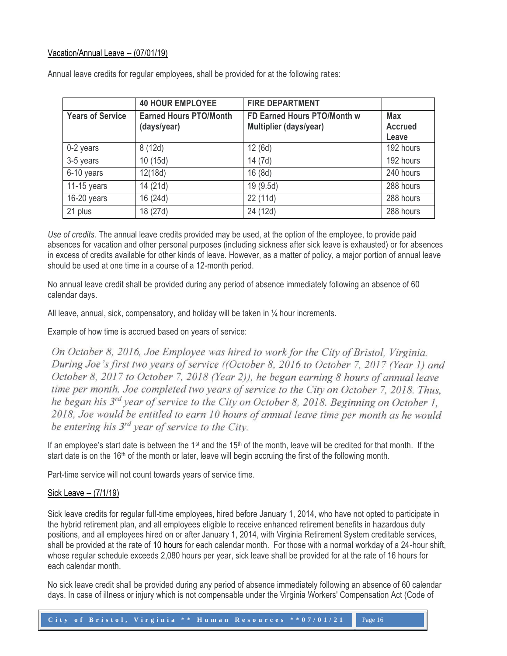#### Vacation/Annual Leave -- (07/01/19)

Annual leave credits for regular employees, shall be provided for at the following rates:

|                         | <b>40 HOUR EMPLOYEE</b>                      | <b>FIRE DEPARTMENT</b>                                |                                       |
|-------------------------|----------------------------------------------|-------------------------------------------------------|---------------------------------------|
| <b>Years of Service</b> | <b>Earned Hours PTO/Month</b><br>(days/year) | FD Earned Hours PTO/Month w<br>Multiplier (days/year) | <b>Max</b><br><b>Accrued</b><br>Leave |
| 0-2 years               | 8(12d)                                       | 12(6d)                                                | 192 hours                             |
| 3-5 years               | 10(15d)                                      | 14(7d)                                                | 192 hours                             |
| 6-10 years              | 12(18d)                                      | 16(8d)                                                | 240 hours                             |
| $11-15$ years           | 14 (21d)                                     | 19 (9.5d)                                             | 288 hours                             |
| 16-20 years             | 16 (24d)                                     | 22 (11d)                                              | 288 hours                             |
| 21 plus                 | 18 (27d)                                     | 24 (12d)                                              | 288 hours                             |

*Use of credits.* The annual leave credits provided may be used, at the option of the employee, to provide paid absences for vacation and other personal purposes (including sickness after sick leave is exhausted) or for absences in excess of credits available for other kinds of leave. However, as a matter of policy, a major portion of annual leave should be used at one time in a course of a 12-month period.

No annual leave credit shall be provided during any period of absence immediately following an absence of 60 calendar days.

All leave, annual, sick, compensatory, and holiday will be taken in  $\frac{1}{4}$  hour increments.

Example of how time is accrued based on years of service:

On October 8, 2016, Joe Employee was hired to work for the City of Bristol, Virginia. During Joe's first two years of service ((October 8, 2016 to October 7, 2017 (Year 1) and October 8, 2017 to October 7, 2018 (Year 2)), he began earning 8 hours of annual leave time per month. Joe completed two years of service to the City on October 7, 2018. Thus, he began his 3<sup>rd</sup> year of service to the City on October 8, 2018. Beginning on October 1, 2018, Joe would be entitled to earn 10 hours of annual leave time per month as he would be entering his 3<sup>rd</sup> year of service to the City.

If an employee's start date is between the 1<sup>st</sup> and the 15<sup>th</sup> of the month, leave will be credited for that month. If the start date is on the 16<sup>th</sup> of the month or later, leave will begin accruing the first of the following month.

Part-time service will not count towards years of service time.

#### Sick Leave -- (7/1/19)

Sick leave credits for regular full-time employees, hired before January 1, 2014, who have not opted to participate in the hybrid retirement plan, and all employees eligible to receive enhanced retirement benefits in hazardous duty positions, and all employees hired on or after January 1, 2014, with Virginia Retirement System creditable services, shall be provided at the rate of 10 hours for each calendar month. For those with a normal workday of a 24-hour shift, whose regular schedule exceeds 2,080 hours per year, sick leave shall be provided for at the rate of 16 hours for each calendar month.

No sick leave credit shall be provided during any period of absence immediately following an absence of 60 calendar days. In case of illness or injury which is not compensable under the Virginia Workers' Compensation Act (Code of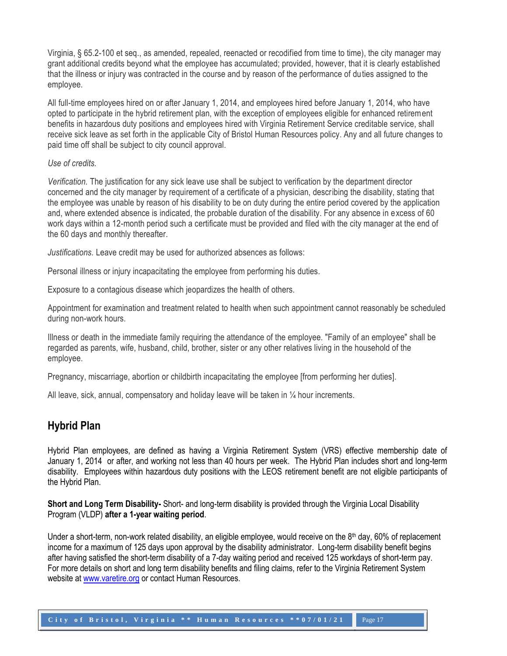Virginia, § 65.2-100 et seq., as amended, repealed, reenacted or recodified from time to time), the city manager may grant additional credits beyond what the employee has accumulated; provided, however, that it is clearly established that the illness or injury was contracted in the course and by reason of the performance of duties assigned to the employee.

All full-time employees hired on or after January 1, 2014, and employees hired before January 1, 2014, who have opted to participate in the hybrid retirement plan, with the exception of employees eligible for enhanced retirement benefits in hazardous duty positions and employees hired with Virginia Retirement Service creditable service, shall receive sick leave as set forth in the applicable City of Bristol Human Resources policy. Any and all future changes to paid time off shall be subject to city council approval.

#### *Use of credits.*

*Verification.* The justification for any sick leave use shall be subject to verification by the department director concerned and the city manager by requirement of a certificate of a physician, describing the disability, stating that the employee was unable by reason of his disability to be on duty during the entire period covered by the application and, where extended absence is indicated, the probable duration of the disability. For any absence in excess of 60 work days within a 12-month period such a certificate must be provided and filed with the city manager at the end of the 60 days and monthly thereafter.

*Justifications.* Leave credit may be used for authorized absences as follows:

Personal illness or injury incapacitating the employee from performing his duties.

Exposure to a contagious disease which jeopardizes the health of others.

Appointment for examination and treatment related to health when such appointment cannot reasonably be scheduled during non-work hours.

Illness or death in the immediate family requiring the attendance of the employee. "Family of an employee" shall be regarded as parents, wife, husband, child, brother, sister or any other relatives living in the household of the employee.

Pregnancy, miscarriage, abortion or childbirth incapacitating the employee [from performing her duties].

All leave, sick, annual, compensatory and holiday leave will be taken in  $\frac{1}{4}$  hour increments.

## **Hybrid Plan**

Hybrid Plan employees, are defined as having a Virginia Retirement System (VRS) effective membership date of January 1, 2014 or after, and working not less than 40 hours per week. The Hybrid Plan includes short and long-term disability. Employees within hazardous duty positions with the LEOS retirement benefit are not eligible participants of the Hybrid Plan.

**Short and Long Term Disability-** Short- and long-term disability is provided through the Virginia Local Disability Program (VLDP) **after a 1-year waiting period**.

Under a short-term, non-work related disability, an eligible employee, would receive on the  $8<sup>th</sup>$  day, 60% of replacement income for a maximum of 125 days upon approval by the disability administrator. Long-term disability benefit begins after having satisfied the short-term disability of a 7-day waiting period and received 125 workdays of short-term pay. For more details on short and long term disability benefits and filing claims, refer to the Virginia Retirement System website a[t www.varetire.org](http://www.varetire.org/) or contact Human Resources.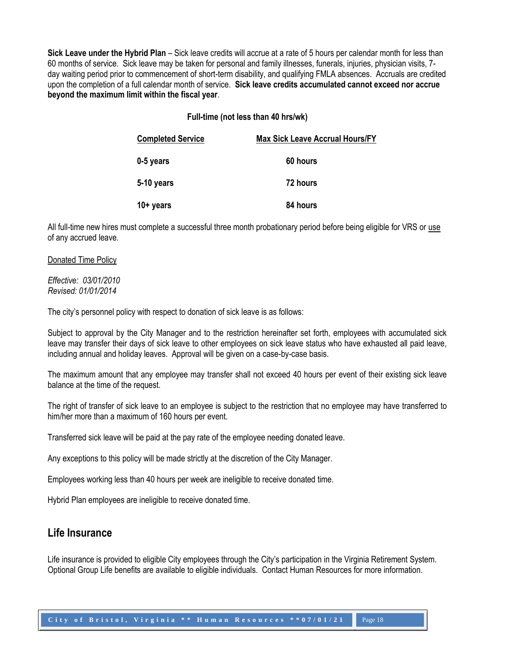**Sick Leave under the Hybrid Plan** – Sick leave credits will accrue at a rate of 5 hours per calendar month for less than 60 months of service. Sick leave may be taken for personal and family illnesses, funerals, injuries, physician visits, 7 day waiting period prior to commencement of short-term disability, and qualifying FMLA absences. Accruals are credited upon the completion of a full calendar month of service. **Sick leave credits accumulated cannot exceed nor accrue beyond the maximum limit within the fiscal year**.

#### **Full-time (not less than 40 hrs/wk)**

| <b>Completed Service</b> | <b>Max Sick Leave Accrual Hours/FY</b> |
|--------------------------|----------------------------------------|
| 0-5 years                | 60 hours                               |
| 5-10 years               | 72 hours                               |
| 10+ years                | 84 hours                               |

All full-time new hires must complete a successful three month probationary period before being eligible for VRS or use of any accrued leave.

Donated Time Policy

*Effective: 03/01/2010 Revised: 01/01/2014*

The city's personnel policy with respect to donation of sick leave is as follows:

Subject to approval by the City Manager and to the restriction hereinafter set forth, employees with accumulated sick leave may transfer their days of sick leave to other employees on sick leave status who have exhausted all paid leave, including annual and holiday leaves. Approval will be given on a case-by-case basis.

The maximum amount that any employee may transfer shall not exceed 40 hours per event of their existing sick leave balance at the time of the request.

The right of transfer of sick leave to an employee is subject to the restriction that no employee may have transferred to him/her more than a maximum of 160 hours per event.

Transferred sick leave will be paid at the pay rate of the employee needing donated leave.

Any exceptions to this policy will be made strictly at the discretion of the City Manager.

Employees working less than 40 hours per week are ineligible to receive donated time.

Hybrid Plan employees are ineligible to receive donated time.

#### <span id="page-17-0"></span>**Life Insurance**

Life insurance is provided to eligible City employees through the City's participation in the Virginia Retirement System. Optional Group Life benefits are available to eligible individuals. Contact Human Resources for more information.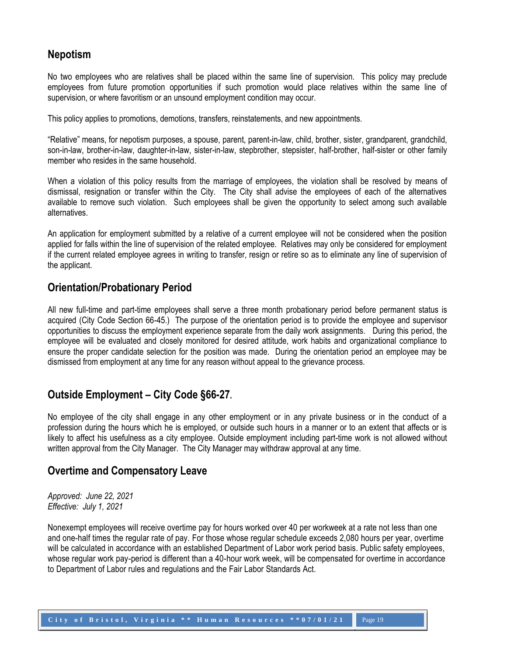## **Nepotism**

No two employees who are relatives shall be placed within the same line of supervision. This policy may preclude employees from future promotion opportunities if such promotion would place relatives within the same line of supervision, or where favoritism or an unsound employment condition may occur.

This policy applies to promotions, demotions, transfers, reinstatements, and new appointments.

"Relative" means, for nepotism purposes, a spouse, parent, parent-in-law, child, brother, sister, grandparent, grandchild, son-in-law, brother-in-law, daughter-in-law, sister-in-law, stepbrother, stepsister, half-brother, half-sister or other family member who resides in the same household.

When a violation of this policy results from the marriage of employees, the violation shall be resolved by means of dismissal, resignation or transfer within the City. The City shall advise the employees of each of the alternatives available to remove such violation. Such employees shall be given the opportunity to select among such available alternatives.

An application for employment submitted by a relative of a current employee will not be considered when the position applied for falls within the line of supervision of the related employee. Relatives may only be considered for employment if the current related employee agrees in writing to transfer, resign or retire so as to eliminate any line of supervision of the applicant.

## <span id="page-18-0"></span>**Orientation/Probationary Period**

All new full-time and part-time employees shall serve a three month probationary period before permanent status is acquired (City Code Section 66-45.) The purpose of the orientation period is to provide the employee and supervisor opportunities to discuss the employment experience separate from the daily work assignments. During this period, the employee will be evaluated and closely monitored for desired attitude, work habits and organizational compliance to ensure the proper candidate selection for the position was made. During the orientation period an employee may be dismissed from employment at any time for any reason without appeal to the grievance process.

## <span id="page-18-1"></span>**Outside Employment – City Code §66-27.**

No employee of the city shall engage in any other employment or in any private business or in the conduct of a profession during the hours which he is employed, or outside such hours in a manner or to an extent that affects or is likely to affect his usefulness as a city employee. Outside employment including part-time work is not allowed without written approval from the City Manager. The City Manager may withdraw approval at any time.

## <span id="page-18-2"></span>**Overtime and Compensatory Leave**

*Approved: June 22, 2021 Effective: July 1, 2021*

Nonexempt employees will receive overtime pay for hours worked over 40 per workweek at a rate not less than one and one-half times the regular rate of pay. For those whose regular schedule exceeds 2,080 hours per year, overtime will be calculated in accordance with an established Department of Labor work period basis. Public safety employees, whose regular work pay-period is different than a 40-hour work week, will be compensated for overtime in accordance to Department of Labor rules and regulations and the Fair Labor Standards Act.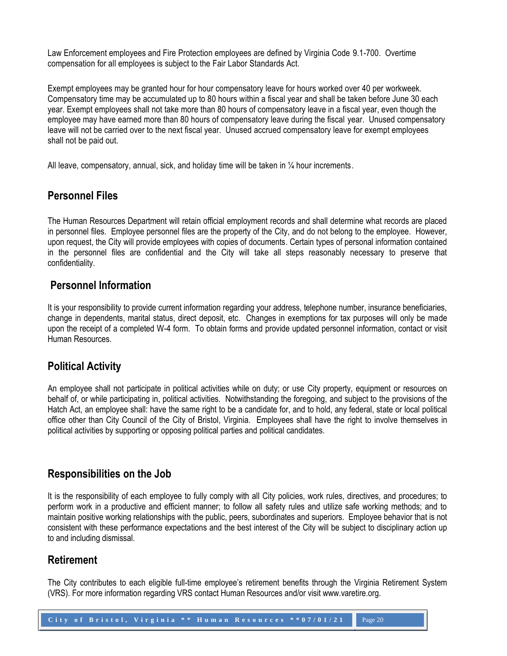Law Enforcement employees and Fire Protection employees are defined by Virginia Code 9.1-700. Overtime compensation for all employees is subject to the Fair Labor Standards Act.

Exempt employees may be granted hour for hour compensatory leave for hours worked over 40 per workweek. Compensatory time may be accumulated up to 80 hours within a fiscal year and shall be taken before June 30 each year. Exempt employees shall not take more than 80 hours of compensatory leave in a fiscal year, even though the employee may have earned more than 80 hours of compensatory leave during the fiscal year. Unused compensatory leave will not be carried over to the next fiscal year. Unused accrued compensatory leave for exempt employees shall not be paid out.

All leave, compensatory, annual, sick, and holiday time will be taken in  $\frac{1}{4}$  hour increments.

## <span id="page-19-0"></span>**Personnel Files**

The Human Resources Department will retain official employment records and shall determine what records are placed in personnel files. Employee personnel files are the property of the City, and do not belong to the employee. However, upon request, the City will provide employees with copies of documents. Certain types of personal information contained in the personnel files are confidential and the City will take all steps reasonably necessary to preserve that confidentiality.

## <span id="page-19-1"></span>**Personnel Information**

It is your responsibility to provide current information regarding your address, telephone number, insurance beneficiaries, change in dependents, marital status, direct deposit, etc. Changes in exemptions for tax purposes will only be made upon the receipt of a completed W-4 form. To obtain forms and provide updated personnel information, contact or visit Human Resources.

## <span id="page-19-2"></span>**Political Activity**

An employee shall not participate in political activities while on duty; or use City property, equipment or resources on behalf of, or while participating in, political activities. Notwithstanding the foregoing, and subject to the provisions of the Hatch Act, an employee shall: have the same right to be a candidate for, and to hold, any federal, state or local political office other than City Council of the City of Bristol, Virginia. Employees shall have the right to involve themselves in political activities by supporting or opposing political parties and political candidates.

## <span id="page-19-3"></span>**Responsibilities on the Job**

It is the responsibility of each employee to fully comply with all City policies, work rules, directives, and procedures; to perform work in a productive and efficient manner; to follow all safety rules and utilize safe working methods; and to maintain positive working relationships with the public, peers, subordinates and superiors. Employee behavior that is not consistent with these performance expectations and the best interest of the City will be subject to disciplinary action up to and including dismissal.

## **Retirement**

The City contributes to each eligible full-time employee's retirement benefits through the Virginia Retirement System (VRS). For more information regarding VRS contact Human Resources and/or visit www.varetire.org.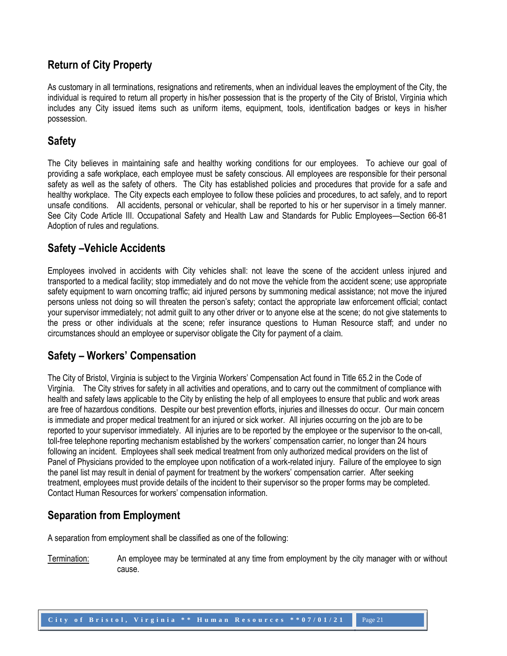## **Return of City Property**

As customary in all terminations, resignations and retirements, when an individual leaves the employment of the City, the individual is required to return all property in his/her possession that is the property of the City of Bristol, Virginia which includes any City issued items such as uniform items, equipment, tools, identification badges or keys in his/her possession.

## <span id="page-20-0"></span>**Safety**

The City believes in maintaining safe and healthy working conditions for our employees. To achieve our goal of providing a safe workplace, each employee must be safety conscious. All employees are responsible for their personal safety as well as the safety of others. The City has established policies and procedures that provide for a safe and healthy workplace. The City expects each employee to follow these policies and procedures, to act safely, and to report unsafe conditions. All accidents, personal or vehicular, shall be reported to his or her supervisor in a timely manner. See City Code Article III. Occupational Safety and Health Law and Standards for Public Employees—Section 66-81 Adoption of rules and regulations.

## <span id="page-20-1"></span>**Safety –Vehicle Accidents**

Employees involved in accidents with City vehicles shall: not leave the scene of the accident unless injured and transported to a medical facility; stop immediately and do not move the vehicle from the accident scene; use appropriate safety equipment to warn oncoming traffic; aid injured persons by summoning medical assistance; not move the injured persons unless not doing so will threaten the person's safety; contact the appropriate law enforcement official; contact your supervisor immediately; not admit guilt to any other driver or to anyone else at the scene; do not give statements to the press or other individuals at the scene; refer insurance questions to Human Resource staff; and under no circumstances should an employee or supervisor obligate the City for payment of a claim.

## <span id="page-20-2"></span>**Safety – Workers' Compensation**

The City of Bristol, Virginia is subject to the Virginia Workers' Compensation Act found in Title 65.2 in the Code of Virginia. The City strives for safety in all activities and operations, and to carry out the commitment of compliance with health and safety laws applicable to the City by enlisting the help of all employees to ensure that public and work areas are free of hazardous conditions. Despite our best prevention efforts, injuries and illnesses do occur. Our main concern is immediate and proper medical treatment for an injured or sick worker. All injuries occurring on the job are to be reported to your supervisor immediately. All injuries are to be reported by the employee or the supervisor to the on-call, toll-free telephone reporting mechanism established by the workers' compensation carrier, no longer than 24 hours following an incident. Employees shall seek medical treatment from only authorized medical providers on the list of Panel of Physicians provided to the employee upon notification of a work-related injury. Failure of the employee to sign the panel list may result in denial of payment for treatment by the workers' compensation carrier. After seeking treatment, employees must provide details of the incident to their supervisor so the proper forms may be completed. Contact Human Resources for workers' compensation information.

## **Separation from Employment**

A separation from employment shall be classified as one of the following:

Termination: An employee may be terminated at any time from employment by the city manager with or without cause.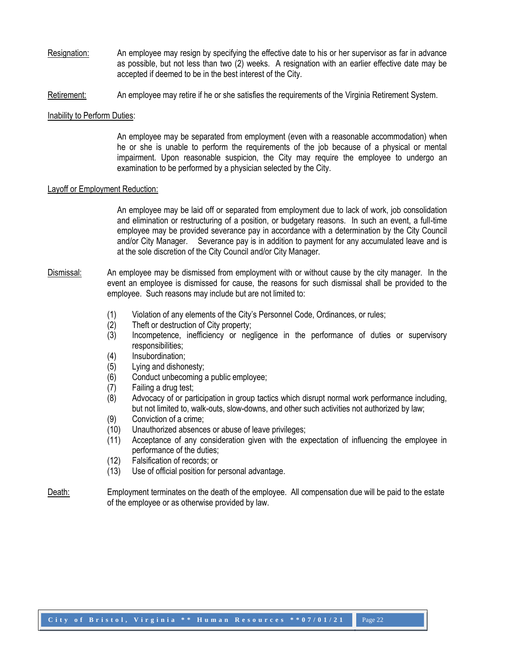- Resignation: An employee may resign by specifying the effective date to his or her supervisor as far in advance as possible, but not less than two (2) weeks. A resignation with an earlier effective date may be accepted if deemed to be in the best interest of the City.
- Retirement: An employee may retire if he or she satisfies the requirements of the Virginia Retirement System.

#### Inability to Perform Duties:

An employee may be separated from employment (even with a reasonable accommodation) when he or she is unable to perform the requirements of the job because of a physical or mental impairment. Upon reasonable suspicion, the City may require the employee to undergo an examination to be performed by a physician selected by the City.

#### Layoff or Employment Reduction:

An employee may be laid off or separated from employment due to lack of work, job consolidation and elimination or restructuring of a position, or budgetary reasons. In such an event, a full-time employee may be provided severance pay in accordance with a determination by the City Council and/or City Manager. Severance pay is in addition to payment for any accumulated leave and is at the sole discretion of the City Council and/or City Manager.

- Dismissal: An employee may be dismissed from employment with or without cause by the city manager. In the event an employee is dismissed for cause, the reasons for such dismissal shall be provided to the employee. Such reasons may include but are not limited to:
	- (1) Violation of any elements of the City's Personnel Code, Ordinances, or rules;
	- (2) Theft or destruction of City property;
	- (3) Incompetence, inefficiency or negligence in the performance of duties or supervisory responsibilities;
	- (4) Insubordination;
	- (5) Lying and dishonesty;
	- (6) Conduct unbecoming a public employee;
	- (7) Failing a drug test;
	- (8) Advocacy of or participation in group tactics which disrupt normal work performance including, but not limited to, walk-outs, slow-downs, and other such activities not authorized by law;
	- (9) Conviction of a crime;
	- (10) Unauthorized absences or abuse of leave privileges;
	- (11) Acceptance of any consideration given with the expectation of influencing the employee in performance of the duties;
	- (12) Falsification of records; or
	- (13) Use of official position for personal advantage.
- Death: Employment terminates on the death of the employee. All compensation due will be paid to the estate of the employee or as otherwise provided by law.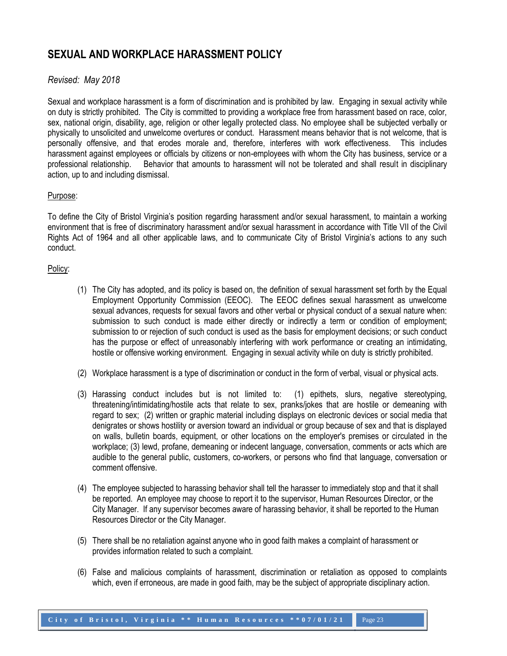## **SEXUAL AND WORKPLACE HARASSMENT POLICY**

#### *Revised: May 2018*

Sexual and workplace harassment is a form of discrimination and is prohibited by law. Engaging in sexual activity while on duty is strictly prohibited. The City is committed to providing a workplace free from harassment based on race, color, sex, national origin, disability, age, religion or other legally protected class. No employee shall be subjected verbally or physically to unsolicited and unwelcome overtures or conduct. Harassment means behavior that is not welcome, that is personally offensive, and that erodes morale and, therefore, interferes with work effectiveness. This includes harassment against employees or officials by citizens or non-employees with whom the City has business, service or a professional relationship. Behavior that amounts to harassment will not be tolerated and shall result in disciplinary action, up to and including dismissal.

#### Purpose:

To define the City of Bristol Virginia's position regarding harassment and/or sexual harassment, to maintain a working environment that is free of discriminatory harassment and/or sexual harassment in accordance with Title VII of the Civil Rights Act of 1964 and all other applicable laws, and to communicate City of Bristol Virginia's actions to any such conduct.

#### Policy:

- (1) The City has adopted, and its policy is based on, the definition of sexual harassment set forth by the Equal Employment Opportunity Commission (EEOC). The EEOC defines sexual harassment as unwelcome sexual advances, requests for sexual favors and other verbal or physical conduct of a sexual nature when: submission to such conduct is made either directly or indirectly a term or condition of employment; submission to or rejection of such conduct is used as the basis for employment decisions; or such conduct has the purpose or effect of unreasonably interfering with work performance or creating an intimidating, hostile or offensive working environment. Engaging in sexual activity while on duty is strictly prohibited.
- (2) Workplace harassment is a type of discrimination or conduct in the form of verbal, visual or physical acts.
- (3) Harassing conduct includes but is not limited to: (1) epithets, slurs, negative stereotyping, threatening/intimidating/hostile acts that relate to sex, pranks/jokes that are hostile or demeaning with regard to sex; (2) written or graphic material including displays on electronic devices or social media that denigrates or shows hostility or aversion toward an individual or group because of sex and that is displayed on walls, bulletin boards, equipment, or other locations on the employer's premises or circulated in the workplace; (3) lewd, profane, demeaning or indecent language, conversation, comments or acts which are audible to the general public, customers, co-workers, or persons who find that language, conversation or comment offensive.
- (4) The employee subjected to harassing behavior shall tell the harasser to immediately stop and that it shall be reported. An employee may choose to report it to the supervisor, Human Resources Director, or the City Manager. If any supervisor becomes aware of harassing behavior, it shall be reported to the Human Resources Director or the City Manager.
- (5) There shall be no retaliation against anyone who in good faith makes a complaint of harassment or provides information related to such a complaint.
- (6) False and malicious complaints of harassment, discrimination or retaliation as opposed to complaints which, even if erroneous, are made in good faith, may be the subject of appropriate disciplinary action.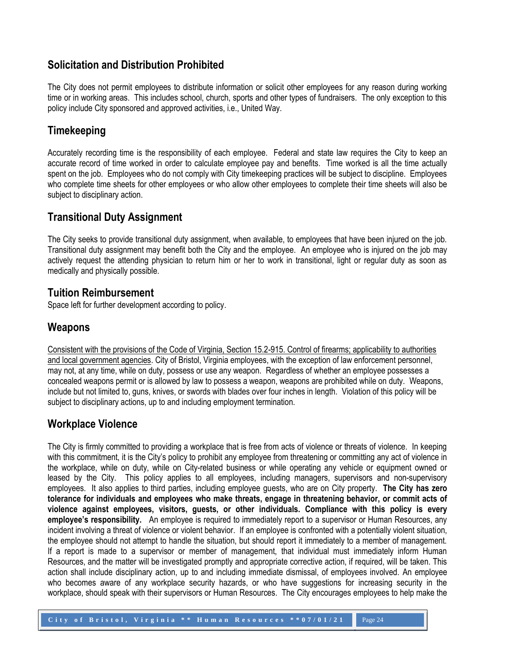## <span id="page-23-0"></span>**Solicitation and Distribution Prohibited**

The City does not permit employees to distribute information or solicit other employees for any reason during working time or in working areas. This includes school, church, sports and other types of fundraisers. The only exception to this policy include City sponsored and approved activities, i.e., United Way.

## <span id="page-23-1"></span>**Timekeeping**

Accurately recording time is the responsibility of each employee. Federal and state law requires the City to keep an accurate record of time worked in order to calculate employee pay and benefits. Time worked is all the time actually spent on the job. Employees who do not comply with City timekeeping practices will be subject to discipline. Employees who complete time sheets for other employees or who allow other employees to complete their time sheets will also be subject to disciplinary action.

## <span id="page-23-2"></span>**Transitional Duty Assignment**

The City seeks to provide transitional duty assignment, when available, to employees that have been injured on the job. Transitional duty assignment may benefit both the City and the employee. An employee who is injured on the job may actively request the attending physician to return him or her to work in transitional, light or regular duty as soon as medically and physically possible.

## <span id="page-23-3"></span>**Tuition Reimbursement**

<span id="page-23-4"></span>Space left for further development according to policy.

## **Weapons**

Consistent with the provisions of the Code of Virginia, Section 15.2-915. Control of firearms; applicability to authorities and local government agencies. City of Bristol, Virginia employees, with the exception of law enforcement personnel, may not, at any time, while on duty, possess or use any weapon. Regardless of whether an employee possesses a concealed weapons permit or is allowed by law to possess a weapon, weapons are prohibited while on duty. Weapons, include but not limited to, guns, knives, or swords with blades over four inches in length. Violation of this policy will be subject to disciplinary actions, up to and including employment termination.

## <span id="page-23-5"></span>**Workplace Violence**

The City is firmly committed to providing a workplace that is free from acts of violence or threats of violence. In keeping with this commitment, it is the City's policy to prohibit any employee from threatening or committing any act of violence in the workplace, while on duty, while on City-related business or while operating any vehicle or equipment owned or leased by the City. This policy applies to all employees, including managers, supervisors and non-supervisory employees. It also applies to third parties, including employee guests, who are on City property. **The City has zero tolerance for individuals and employees who make threats, engage in threatening behavior, or commit acts of violence against employees, visitors, guests, or other individuals. Compliance with this policy is every employee's responsibility.** An employee is required to immediately report to a supervisor or Human Resources, any incident involving a threat of violence or violent behavior. If an employee is confronted with a potentially violent situation, the employee should not attempt to handle the situation, but should report it immediately to a member of management. If a report is made to a supervisor or member of management, that individual must immediately inform Human Resources, and the matter will be investigated promptly and appropriate corrective action, if required, will be taken. This action shall include disciplinary action, up to and including immediate dismissal, of employees involved. An employee who becomes aware of any workplace security hazards, or who have suggestions for increasing security in the workplace, should speak with their supervisors or Human Resources. The City encourages employees to help make the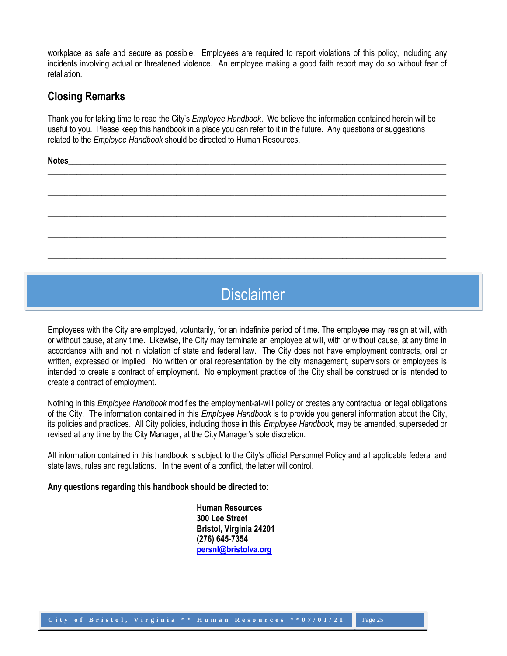workplace as safe and secure as possible. Employees are required to report violations of this policy, including any incidents involving actual or threatened violence. An employee making a good faith report may do so without fear of retaliation.

## <span id="page-24-0"></span>**Closing Remarks**

Thank you for taking time to read the City's *Employee Handbook*. We believe the information contained herein will be useful to you. Please keep this handbook in a place you can refer to it in the future. Any questions or suggestions related to the *Employee Handbook* should be directed to Human Resources.

**\_\_\_\_\_\_\_\_\_\_\_\_\_\_\_\_\_\_\_\_\_\_\_\_\_\_\_\_\_\_\_\_\_\_\_\_\_\_\_\_\_\_\_\_\_\_\_\_\_\_\_\_\_\_\_\_\_\_\_\_\_\_\_\_\_\_\_\_\_\_\_\_\_\_\_\_\_\_\_\_\_\_\_\_\_\_\_\_\_\_\_\_\_\_\_\_ \_\_\_\_\_\_\_\_\_\_\_\_\_\_\_\_\_\_\_\_\_\_\_\_\_\_\_\_\_\_\_\_\_\_\_\_\_\_\_\_\_\_\_\_\_\_\_\_\_\_\_\_\_\_\_\_\_\_\_\_\_\_\_\_\_\_\_\_\_\_\_\_\_\_\_\_\_\_\_\_\_\_\_\_\_\_\_\_\_\_\_\_\_\_\_\_ \_\_\_\_\_\_\_\_\_\_\_\_\_\_\_\_\_\_\_\_\_\_\_\_\_\_\_\_\_\_\_\_\_\_\_\_\_\_\_\_\_\_\_\_\_\_\_\_\_\_\_\_\_\_\_\_\_\_\_\_\_\_\_\_\_\_\_\_\_\_\_\_\_\_\_\_\_\_\_\_\_\_\_\_\_\_\_\_\_\_\_\_\_\_\_\_ \_\_\_\_\_\_\_\_\_\_\_\_\_\_\_\_\_\_\_\_\_\_\_\_\_\_\_\_\_\_\_\_\_\_\_\_\_\_\_\_\_\_\_\_\_\_\_\_\_\_\_\_\_\_\_\_\_\_\_\_\_\_\_\_\_\_\_\_\_\_\_\_\_\_\_\_\_\_\_\_\_\_\_\_\_\_\_\_\_\_\_\_\_\_\_\_ \_\_\_\_\_\_\_\_\_\_\_\_\_\_\_\_\_\_\_\_\_\_\_\_\_\_\_\_\_\_\_\_\_\_\_\_\_\_\_\_\_\_\_\_\_\_\_\_\_\_\_\_\_\_\_\_\_\_\_\_\_\_\_\_\_\_\_\_\_\_\_\_\_\_\_\_\_\_\_\_\_\_\_\_\_\_\_\_\_\_\_\_\_\_\_\_ \_\_\_\_\_\_\_\_\_\_\_\_\_\_\_\_\_\_\_\_\_\_\_\_\_\_\_\_\_\_\_\_\_\_\_\_\_\_\_\_\_\_\_\_\_\_\_\_\_\_\_\_\_\_\_\_\_\_\_\_\_\_\_\_\_\_\_\_\_\_\_\_\_\_\_\_\_\_\_\_\_\_\_\_\_\_\_\_\_\_\_\_\_\_\_\_ \_\_\_\_\_\_\_\_\_\_\_\_\_\_\_\_\_\_\_\_\_\_\_\_\_\_\_\_\_\_\_\_\_\_\_\_\_\_\_\_\_\_\_\_\_\_\_\_\_\_\_\_\_\_\_\_\_\_\_\_\_\_\_\_\_\_\_\_\_\_\_\_\_\_\_\_\_\_\_\_\_\_\_\_\_\_\_\_\_\_\_\_\_\_\_\_ \_\_\_\_\_\_\_\_\_\_\_\_\_\_\_\_\_\_\_\_\_\_\_\_\_\_\_\_\_\_\_\_\_\_\_\_\_\_\_\_\_\_\_\_\_\_\_\_\_\_\_\_\_\_\_\_\_\_\_\_\_\_\_\_\_\_\_\_\_\_\_\_\_\_\_\_\_\_\_\_\_\_\_\_\_\_\_\_\_\_\_\_\_\_\_\_ \_\_\_\_\_\_\_\_\_\_\_\_\_\_\_\_\_\_\_\_\_\_\_\_\_\_\_\_\_\_\_\_\_\_\_\_\_\_\_\_\_\_\_\_\_\_\_\_\_\_\_\_\_\_\_\_\_\_\_\_\_\_\_\_\_\_\_\_\_\_\_\_\_\_\_\_\_\_\_\_\_\_\_\_\_\_\_\_\_\_\_\_\_\_\_\_**

**Notes\_\_\_\_\_\_\_\_\_\_\_\_\_\_\_\_\_\_\_\_\_\_\_\_\_\_\_\_\_\_\_\_\_\_\_\_\_\_\_\_\_\_\_\_\_\_\_\_\_\_\_\_\_\_\_\_\_\_\_\_\_\_\_\_\_\_\_\_\_\_\_\_\_\_\_\_\_\_\_\_\_\_\_\_\_\_\_\_\_\_\_**

# <span id="page-24-1"></span>**Disclaimer**

Employees with the City are employed, voluntarily, for an indefinite period of time. The employee may resign at will, with or without cause, at any time. Likewise, the City may terminate an employee at will, with or without cause, at any time in accordance with and not in violation of state and federal law. The City does not have employment contracts, oral or written, expressed or implied. No written or oral representation by the city management, supervisors or employees is intended to create a contract of employment. No employment practice of the City shall be construed or is intended to create a contract of employment.

Nothing in this *Employee Handbook* modifies the employment-at-will policy or creates any contractual or legal obligations of the City. The information contained in this *Employee Handbook* is to provide you general information about the City, its policies and practices. All City policies, including those in this *Employee Handbook,* may be amended, superseded or revised at any time by the City Manager, at the City Manager's sole discretion.

All information contained in this handbook is subject to the City's official Personnel Policy and all applicable federal and state laws, rules and regulations. In the event of a conflict, the latter will control.

#### **Any questions regarding this handbook should be directed to:**

**Human Resources 300 Lee Street Bristol, Virginia 24201 (276) 645-7354 [persnl@bristolva.org](mailto:persnl@bristolva.org)**